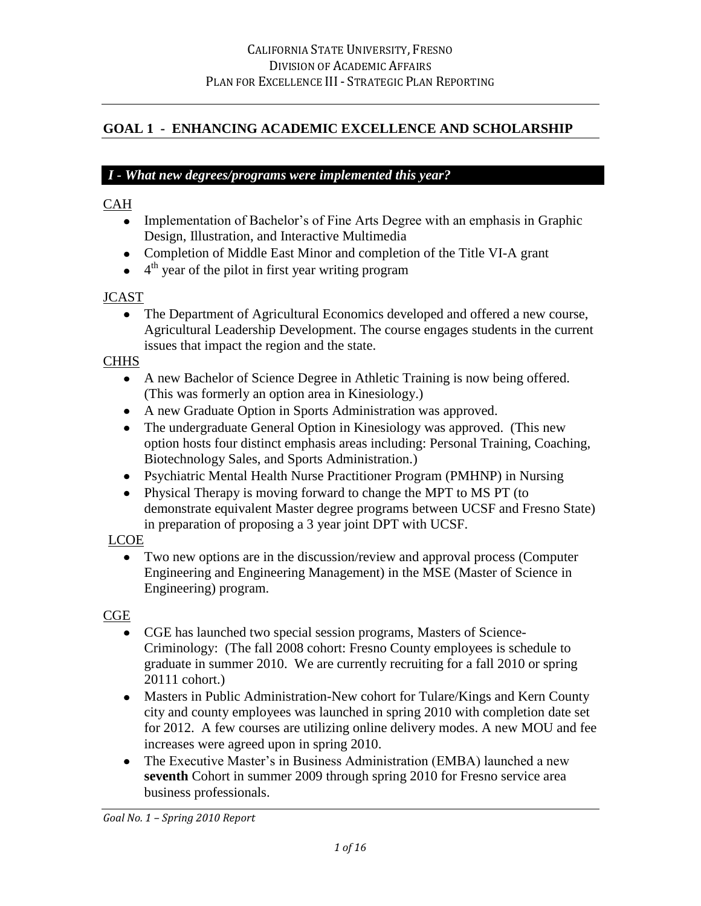## **GOAL 1 - ENHANCING ACADEMIC EXCELLENCE AND SCHOLARSHIP**

### *I - What new degrees/programs were implemented this year?*

### CAH

- Implementation of Bachelor's of Fine Arts Degree with an emphasis in Graphic Design, Illustration, and Interactive Multimedia
- Completion of Middle East Minor and completion of the Title VI-A grant
- <sup>4th</sup> year of the pilot in first year writing program

#### **JCAST**

• The Department of Agricultural Economics developed and offered a new course, Agricultural Leadership Development. The course engages students in the current issues that impact the region and the state.

**CHHS** 

- A new Bachelor of Science Degree in Athletic Training is now being offered. (This was formerly an option area in Kinesiology.)
- A new Graduate Option in Sports Administration was approved.
- The undergraduate General Option in Kinesiology was approved. (This new option hosts four distinct emphasis areas including: Personal Training, Coaching, Biotechnology Sales, and Sports Administration.)
- Psychiatric Mental Health Nurse Practitioner Program (PMHNP) in Nursing
- Physical Therapy is moving forward to change the MPT to MS PT (to demonstrate equivalent Master degree programs between UCSF and Fresno State) in preparation of proposing a 3 year joint DPT with UCSF.

LCOE

Two new options are in the discussion/review and approval process (Computer Engineering and Engineering Management) in the MSE (Master of Science in Engineering) program.

#### **CGE**

- CGE has launched two special session programs, Masters of Science-Criminology: (The fall 2008 cohort: Fresno County employees is schedule to graduate in summer 2010. We are currently recruiting for a fall 2010 or spring 20111 cohort.)
- Masters in Public Administration-New cohort for Tulare/Kings and Kern County city and county employees was launched in spring 2010 with completion date set for 2012. A few courses are utilizing online delivery modes. A new MOU and fee increases were agreed upon in spring 2010.
- The Executive Master's in Business Administration (EMBA) launched a new **seventh** Cohort in summer 2009 through spring 2010 for Fresno service area business professionals.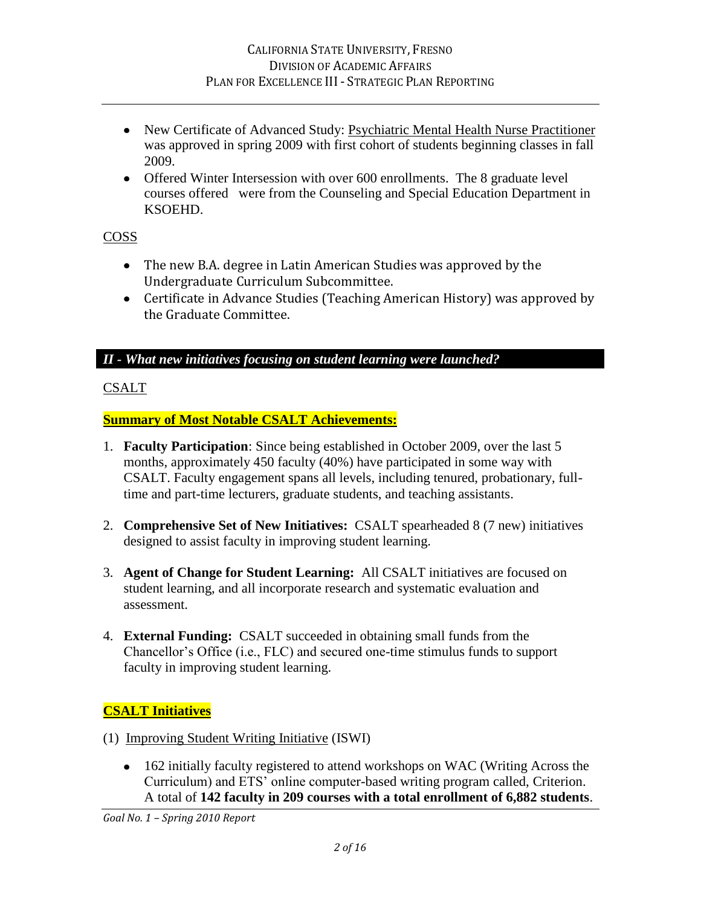- New Certificate of Advanced Study: Psychiatric Mental Health Nurse Practitioner was approved in spring 2009 with first cohort of students beginning classes in fall 2009.
- Offered Winter Intersession with over 600 enrollments. The 8 graduate level courses offered were from the Counseling and Special Education Department in KSOEHD.

## COSS

- The new B.A. degree in Latin American Studies was approved by the Undergraduate Curriculum Subcommittee.
- Certificate in Advance Studies (Teaching American History) was approved by the Graduate Committee.

*II - What new initiatives focusing on student learning were launched?*

## CSALT

## **Summary of Most Notable CSALT Achievements:**

- 1. **Faculty Participation**: Since being established in October 2009, over the last 5 months, approximately 450 faculty (40%) have participated in some way with CSALT. Faculty engagement spans all levels, including tenured, probationary, fulltime and part-time lecturers, graduate students, and teaching assistants.
- 2. **Comprehensive Set of New Initiatives:** CSALT spearheaded 8 (7 new) initiatives designed to assist faculty in improving student learning.
- 3. **Agent of Change for Student Learning:** All CSALT initiatives are focused on student learning, and all incorporate research and systematic evaluation and assessment.
- 4. **External Funding:** CSALT succeeded in obtaining small funds from the Chancellor"s Office (i.e., FLC) and secured one-time stimulus funds to support faculty in improving student learning.

# **CSALT Initiatives**

- (1) Improving Student Writing Initiative (ISWI)
	- 162 initially faculty registered to attend workshops on WAC (Writing Across the Curriculum) and ETS" online computer-based writing program called, Criterion. A total of **142 faculty in 209 courses with a total enrollment of 6,882 students**.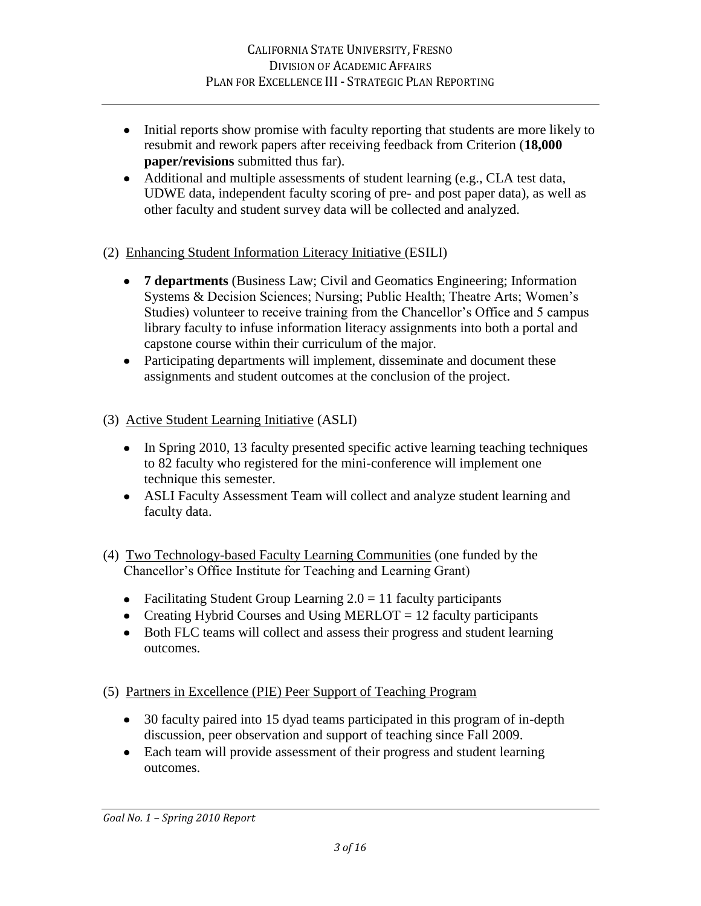- Initial reports show promise with faculty reporting that students are more likely to resubmit and rework papers after receiving feedback from Criterion (**18,000 paper/revisions** submitted thus far).
- Additional and multiple assessments of student learning (e.g., CLA test data, UDWE data, independent faculty scoring of pre- and post paper data), as well as other faculty and student survey data will be collected and analyzed.
- (2) Enhancing Student Information Literacy Initiative (ESILI)
	- **7 departments** (Business Law; Civil and Geomatics Engineering; Information Systems & Decision Sciences; Nursing; Public Health; Theatre Arts; Women"s Studies) volunteer to receive training from the Chancellor"s Office and 5 campus library faculty to infuse information literacy assignments into both a portal and capstone course within their curriculum of the major.
	- Participating departments will implement, disseminate and document these assignments and student outcomes at the conclusion of the project.
- (3) Active Student Learning Initiative (ASLI)
	- In Spring 2010, 13 faculty presented specific active learning teaching techniques to 82 faculty who registered for the mini-conference will implement one technique this semester.
	- ASLI Faculty Assessment Team will collect and analyze student learning and faculty data.
- (4) Two Technology-based Faculty Learning Communities (one funded by the Chancellor"s Office Institute for Teaching and Learning Grant)
	- Facilitating Student Group Learning  $2.0 = 11$  faculty participants
	- Creating Hybrid Courses and Using MERLOT = 12 faculty participants
	- Both FLC teams will collect and assess their progress and student learning outcomes.
- (5) Partners in Excellence (PIE) Peer Support of Teaching Program
	- 30 faculty paired into 15 dyad teams participated in this program of in-depth discussion, peer observation and support of teaching since Fall 2009.
	- Each team will provide assessment of their progress and student learning outcomes.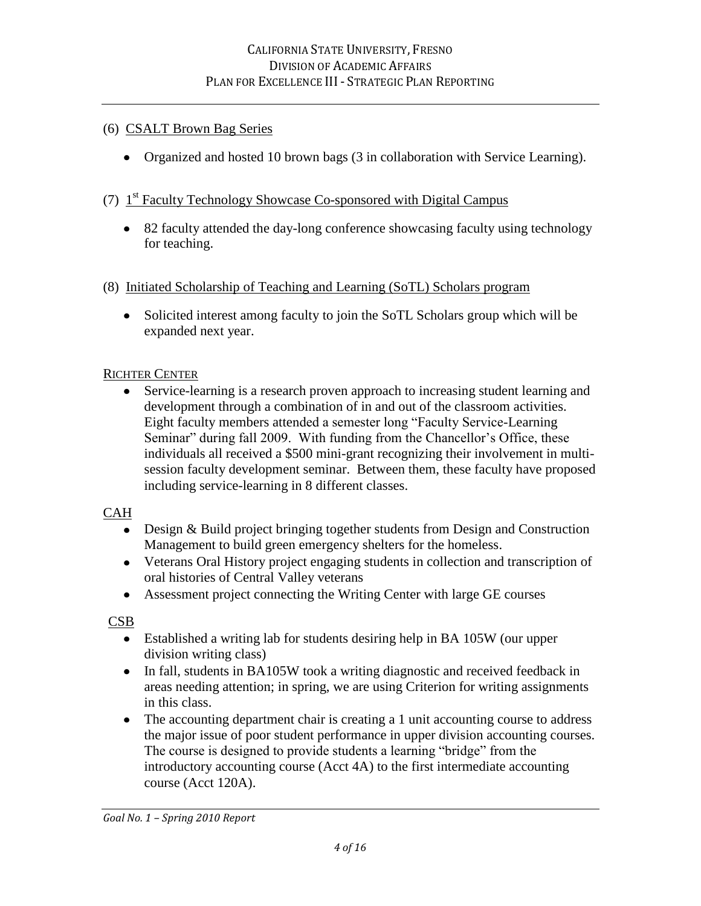### (6) CSALT Brown Bag Series

Organized and hosted 10 brown bags (3 in collaboration with Service Learning).

## (7) 1<sup>st</sup> Faculty Technology Showcase Co-sponsored with Digital Campus

• 82 faculty attended the day-long conference showcasing faculty using technology for teaching.

#### (8) Initiated Scholarship of Teaching and Learning (SoTL) Scholars program

• Solicited interest among faculty to join the SoTL Scholars group which will be expanded next year.

#### RICHTER CENTER

Service-learning is a research proven approach to increasing student learning and development through a combination of in and out of the classroom activities. Eight faculty members attended a semester long "Faculty Service-Learning Seminar" during fall 2009. With funding from the Chancellor's Office, these individuals all received a \$500 mini-grant recognizing their involvement in multisession faculty development seminar. Between them, these faculty have proposed including service-learning in 8 different classes.

#### CAH

- Design & Build project bringing together students from Design and Construction Management to build green emergency shelters for the homeless.
- Veterans Oral History project engaging students in collection and transcription of oral histories of Central Valley veterans
- Assessment project connecting the Writing Center with large GE courses

**CSB** 

- Established a writing lab for students desiring help in BA 105W (our upper division writing class)
- In fall, students in BA105W took a writing diagnostic and received feedback in areas needing attention; in spring, we are using Criterion for writing assignments in this class.
- The accounting department chair is creating a 1 unit accounting course to address the major issue of poor student performance in upper division accounting courses. The course is designed to provide students a learning "bridge" from the introductory accounting course (Acct 4A) to the first intermediate accounting course (Acct 120A).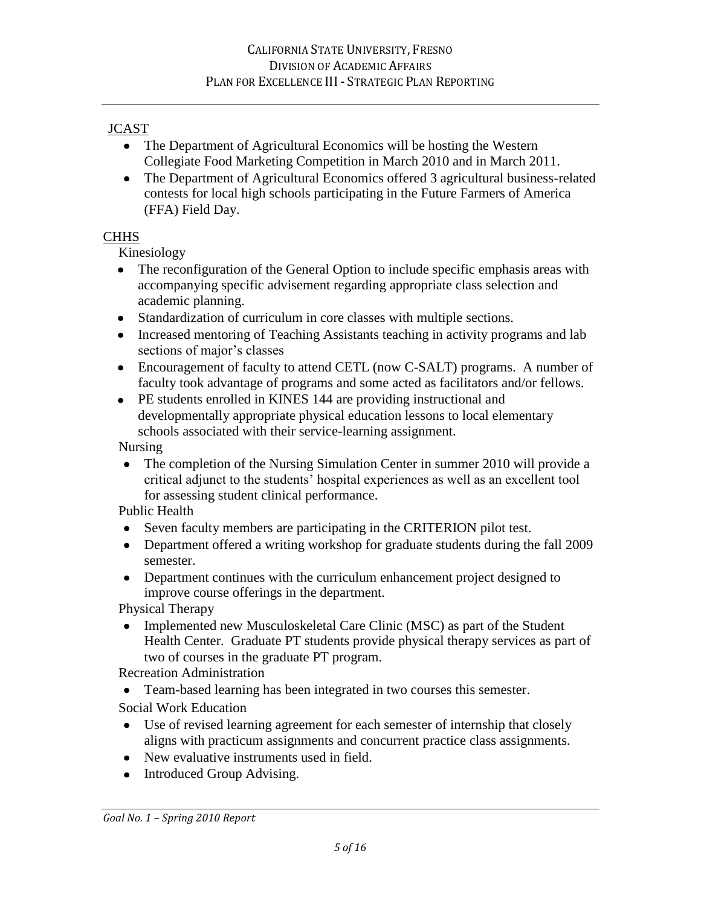### JCAST

- The Department of Agricultural Economics will be hosting the Western Collegiate Food Marketing Competition in March 2010 and in March 2011.
- The Department of Agricultural Economics offered 3 agricultural business-related contests for local high schools participating in the Future Farmers of America (FFA) Field Day.

## **CHHS**

Kinesiology

- The reconfiguration of the General Option to include specific emphasis areas with accompanying specific advisement regarding appropriate class selection and academic planning.
- Standardization of curriculum in core classes with multiple sections.  $\bullet$
- Increased mentoring of Teaching Assistants teaching in activity programs and lab sections of major's classes
- Encouragement of faculty to attend CETL (now C-SALT) programs. A number of faculty took advantage of programs and some acted as facilitators and/or fellows.
- PE students enrolled in KINES 144 are providing instructional and  $\bullet$ developmentally appropriate physical education lessons to local elementary schools associated with their service-learning assignment.

Nursing

• The completion of the Nursing Simulation Center in summer 2010 will provide a critical adjunct to the students" hospital experiences as well as an excellent tool for assessing student clinical performance.

Public Health

- Seven faculty members are participating in the CRITERION pilot test.
- Department offered a writing workshop for graduate students during the fall 2009 semester.
- Department continues with the curriculum enhancement project designed to improve course offerings in the department.

Physical Therapy

• Implemented new Musculoskeletal Care Clinic (MSC) as part of the Student Health Center. Graduate PT students provide physical therapy services as part of two of courses in the graduate PT program.

Recreation Administration

Team-based learning has been integrated in two courses this semester.

Social Work Education

- Use of revised learning agreement for each semester of internship that closely aligns with practicum assignments and concurrent practice class assignments.
- New evaluative instruments used in field.
- Introduced Group Advising.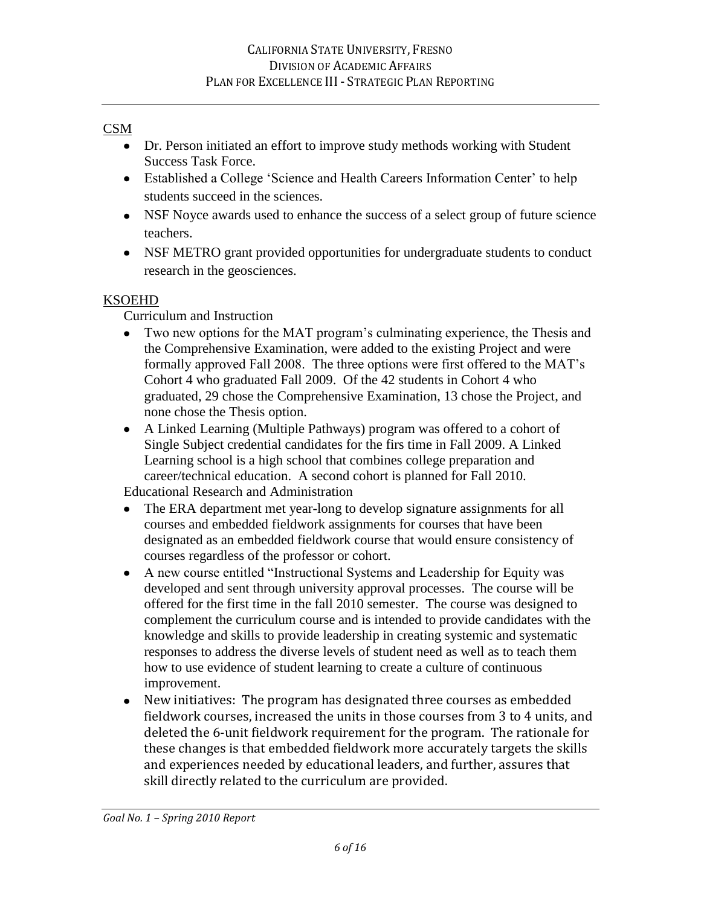### CSM

- Dr. Person initiated an effort to improve study methods working with Student Success Task Force.
- Established a College 'Science and Health Careers Information Center' to help students succeed in the sciences.
- NSF Noyce awards used to enhance the success of a select group of future science teachers.
- NSF METRO grant provided opportunities for undergraduate students to conduct research in the geosciences.

## KSOEHD

Curriculum and Instruction

- Two new options for the MAT program's culminating experience, the Thesis and the Comprehensive Examination, were added to the existing Project and were formally approved Fall 2008. The three options were first offered to the MAT"s Cohort 4 who graduated Fall 2009. Of the 42 students in Cohort 4 who graduated, 29 chose the Comprehensive Examination, 13 chose the Project, and none chose the Thesis option.
- A Linked Learning (Multiple Pathways) program was offered to a cohort of Single Subject credential candidates for the firs time in Fall 2009. A Linked Learning school is a high school that combines college preparation and career/technical education. A second cohort is planned for Fall 2010.

Educational Research and Administration

- The ERA department met year-long to develop signature assignments for all courses and embedded fieldwork assignments for courses that have been designated as an embedded fieldwork course that would ensure consistency of courses regardless of the professor or cohort.
- A new course entitled "Instructional Systems and Leadership for Equity was developed and sent through university approval processes. The course will be offered for the first time in the fall 2010 semester. The course was designed to complement the curriculum course and is intended to provide candidates with the knowledge and skills to provide leadership in creating systemic and systematic responses to address the diverse levels of student need as well as to teach them how to use evidence of student learning to create a culture of continuous improvement.
- New initiatives: The program has designated three courses as embedded fieldwork courses, increased the units in those courses from 3 to 4 units, and deleted the 6-unit fieldwork requirement for the program. The rationale for these changes is that embedded fieldwork more accurately targets the skills and experiences needed by educational leaders, and further, assures that skill directly related to the curriculum are provided.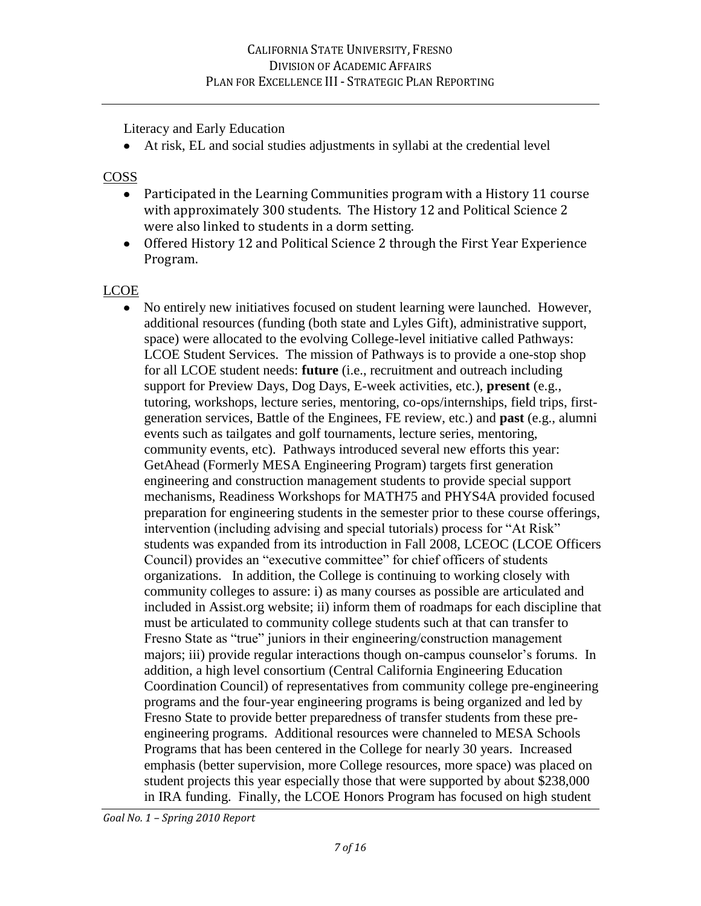Literacy and Early Education

At risk, EL and social studies adjustments in syllabi at the credential level

## **COSS**

- Participated in the Learning Communities program with a History 11 course with approximately 300 students. The History 12 and Political Science 2 were also linked to students in a dorm setting.
- Offered History 12 and Political Science 2 through the First Year Experience Program.

# LCOE

No entirely new initiatives focused on student learning were launched. However, additional resources (funding (both state and Lyles Gift), administrative support, space) were allocated to the evolving College-level initiative called Pathways: LCOE Student Services. The mission of Pathways is to provide a one-stop shop for all LCOE student needs: **future** (i.e., recruitment and outreach including support for Preview Days, Dog Days, E-week activities, etc.), **present** (e.g., tutoring, workshops, lecture series, mentoring, co-ops/internships, field trips, firstgeneration services, Battle of the Enginees, FE review, etc.) and **past** (e.g., alumni events such as tailgates and golf tournaments, lecture series, mentoring, community events, etc). Pathways introduced several new efforts this year: GetAhead (Formerly MESA Engineering Program) targets first generation engineering and construction management students to provide special support mechanisms, Readiness Workshops for MATH75 and PHYS4A provided focused preparation for engineering students in the semester prior to these course offerings, intervention (including advising and special tutorials) process for "At Risk" students was expanded from its introduction in Fall 2008, LCEOC (LCOE Officers Council) provides an "executive committee" for chief officers of students organizations. In addition, the College is continuing to working closely with community colleges to assure: i) as many courses as possible are articulated and included in Assist.org website; ii) inform them of roadmaps for each discipline that must be articulated to community college students such at that can transfer to Fresno State as "true" juniors in their engineering/construction management majors; iii) provide regular interactions though on-campus counselor's forums. In addition, a high level consortium (Central California Engineering Education Coordination Council) of representatives from community college pre-engineering programs and the four-year engineering programs is being organized and led by Fresno State to provide better preparedness of transfer students from these preengineering programs. Additional resources were channeled to MESA Schools Programs that has been centered in the College for nearly 30 years. Increased emphasis (better supervision, more College resources, more space) was placed on student projects this year especially those that were supported by about \$238,000 in IRA funding. Finally, the LCOE Honors Program has focused on high student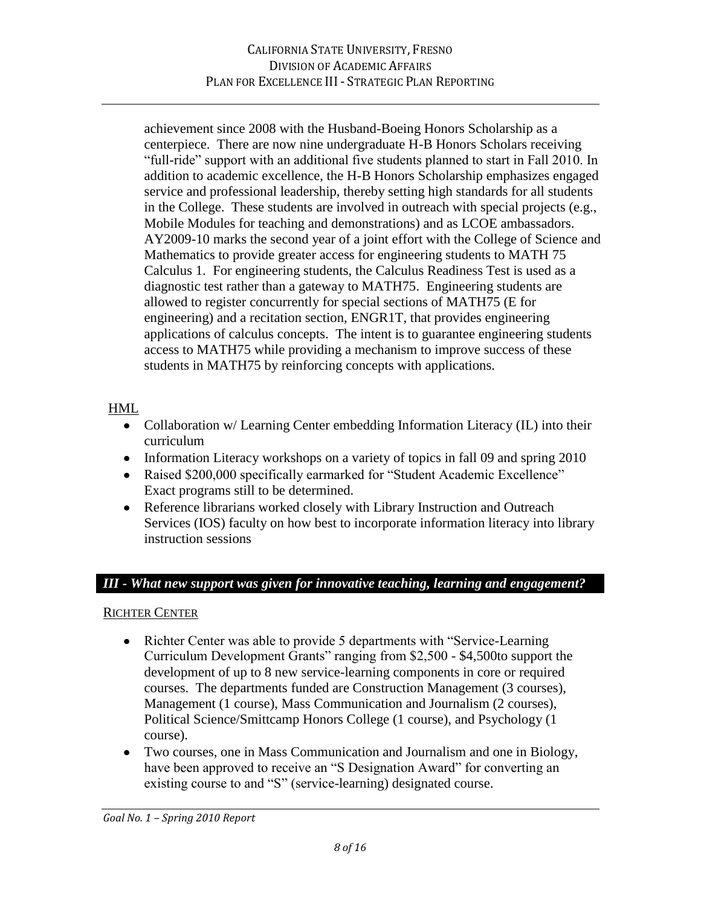achievement since 2008 with the Husband-Boeing Honors Scholarship as a centerpiece. There are now nine undergraduate H-B Honors Scholars receiving "full-ride" support with an additional five students planned to start in Fall 2010. In addition to academic excellence, the H-B Honors Scholarship emphasizes engaged service and professional leadership, thereby setting high standards for all students in the College. These students are involved in outreach with special projects (e.g., Mobile Modules for teaching and demonstrations) and as LCOE ambassadors. AY2009-10 marks the second year of a joint effort with the College of Science and Mathematics to provide greater access for engineering students to MATH 75 Calculus 1. For engineering students, the Calculus Readiness Test is used as a diagnostic test rather than a gateway to MATH75. Engineering students are allowed to register concurrently for special sections of MATH75 (E for engineering) and a recitation section, ENGR1T, that provides engineering applications of calculus concepts. The intent is to guarantee engineering students access to MATH75 while providing a mechanism to improve success of these students in MATH75 by reinforcing concepts with applications.

## HML

- Collaboration w/ Learning Center embedding Information Literacy (IL) into their curriculum
- Information Literacy workshops on a variety of topics in fall 09 and spring 2010
- Raised \$200,000 specifically earmarked for "Student Academic Excellence" Exact programs still to be determined.
- Reference librarians worked closely with Library Instruction and Outreach Services (IOS) faculty on how best to incorporate information literacy into library instruction sessions

#### *III - What new support was given for innovative teaching, learning and engagement?*

#### RICHTER CENTER

- Richter Center was able to provide 5 departments with "Service-Learning" Curriculum Development Grants" ranging from \$2,500 - \$4,500to support the development of up to 8 new service-learning components in core or required courses. The departments funded are Construction Management (3 courses), Management (1 course), Mass Communication and Journalism (2 courses), Political Science/Smittcamp Honors College (1 course), and Psychology (1 course).
- Two courses, one in Mass Communication and Journalism and one in Biology, have been approved to receive an "S Designation Award" for converting an existing course to and "S" (service-learning) designated course.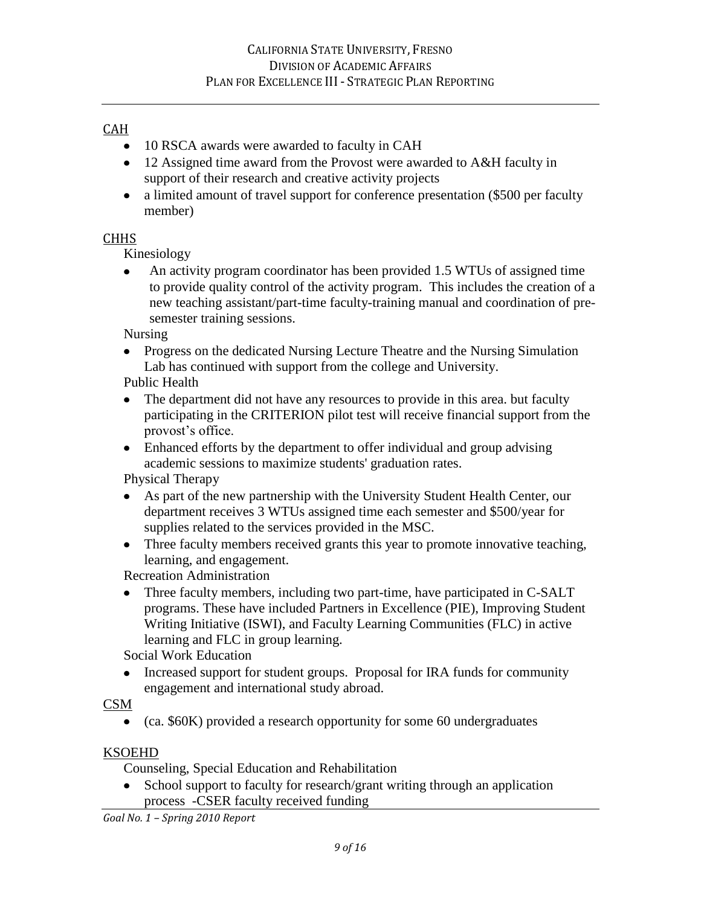## CAH

- 10 RSCA awards were awarded to faculty in CAH
- 12 Assigned time award from the Provost were awarded to A&H faculty in support of their research and creative activity projects
- a limited amount of travel support for conference presentation (\$500 per faculty member)

## CHHS

Kinesiology

An activity program coordinator has been provided 1.5 WTUs of assigned time  $\bullet$ to provide quality control of the activity program. This includes the creation of a new teaching assistant/part-time faculty-training manual and coordination of presemester training sessions.

Nursing

• Progress on the dedicated Nursing Lecture Theatre and the Nursing Simulation Lab has continued with support from the college and University.

Public Health

- The department did not have any resources to provide in this area. but faculty participating in the CRITERION pilot test will receive financial support from the provost's office.
- Enhanced efforts by the department to offer individual and group advising academic sessions to maximize students' graduation rates.

Physical Therapy

- As part of the new partnership with the University Student Health Center, our department receives 3 WTUs assigned time each semester and \$500/year for supplies related to the services provided in the MSC.
- Three faculty members received grants this year to promote innovative teaching, learning, and engagement.

Recreation Administration

• Three faculty members, including two part-time, have participated in C-SALT programs. These have included Partners in Excellence (PIE), Improving Student Writing Initiative (ISWI), and Faculty Learning Communities (FLC) in active learning and FLC in group learning.

Social Work Education

 $\bullet$ Increased support for student groups. Proposal for IRA funds for community engagement and international study abroad.

#### CSM

• (ca. \$60K) provided a research opportunity for some 60 undergraduates

#### KSOEHD

Counseling, Special Education and Rehabilitation

• School support to faculty for research/grant writing through an application process -CSER faculty received funding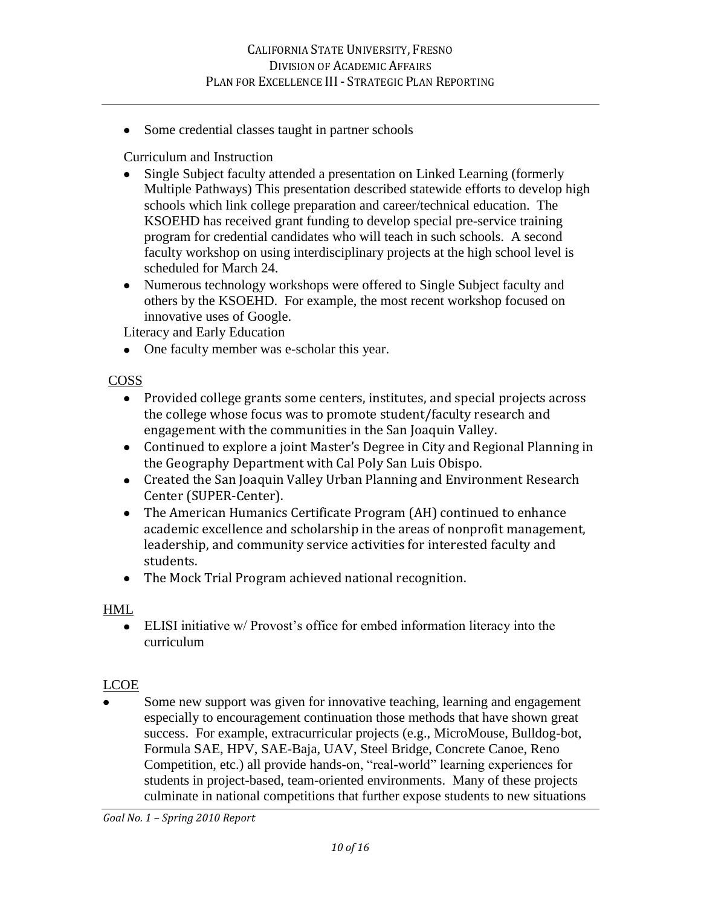• Some credential classes taught in partner schools

Curriculum and Instruction

- Single Subject faculty attended a presentation on Linked Learning (formerly Multiple Pathways) This presentation described statewide efforts to develop high schools which link college preparation and career/technical education. The KSOEHD has received grant funding to develop special pre-service training program for credential candidates who will teach in such schools. A second faculty workshop on using interdisciplinary projects at the high school level is scheduled for March 24.
- Numerous technology workshops were offered to Single Subject faculty and others by the KSOEHD. For example, the most recent workshop focused on innovative uses of Google.

Literacy and Early Education

• One faculty member was e-scholar this year.

COSS

- Provided college grants some centers, institutes, and special projects across the college whose focus was to promote student/faculty research and engagement with the communities in the San Joaquin Valley.
- Continued to explore a joint Master's Degree in City and Regional Planning in the Geography Department with Cal Poly San Luis Obispo.
- Created the San Joaquin Valley Urban Planning and Environment Research Center (SUPER-Center).
- The American Humanics Certificate Program (AH) continued to enhance academic excellence and scholarship in the areas of nonprofit management, leadership, and community service activities for interested faculty and students.
- The Mock Trial Program achieved national recognition.

## HML

ELISI initiative w/ Provost"s office for embed information literacy into the curriculum

## LCOE

Some new support was given for innovative teaching, learning and engagement especially to encouragement continuation those methods that have shown great success. For example, extracurricular projects (e.g., MicroMouse, Bulldog-bot, Formula SAE, HPV, SAE-Baja, UAV, Steel Bridge, Concrete Canoe, Reno Competition, etc.) all provide hands-on, "real-world" learning experiences for students in project-based, team-oriented environments. Many of these projects culminate in national competitions that further expose students to new situations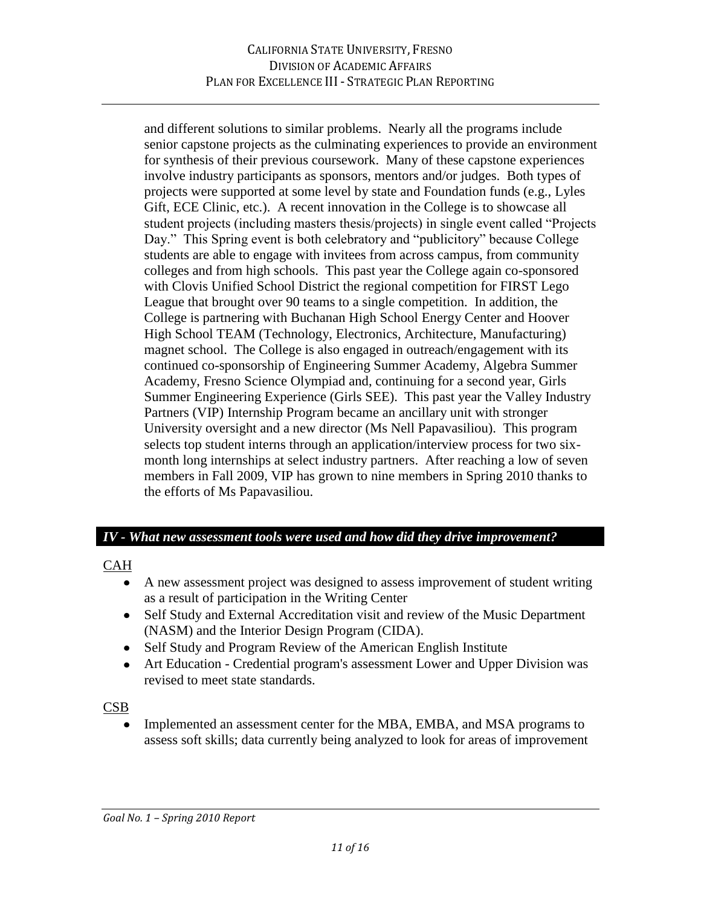and different solutions to similar problems. Nearly all the programs include senior capstone projects as the culminating experiences to provide an environment for synthesis of their previous coursework. Many of these capstone experiences involve industry participants as sponsors, mentors and/or judges. Both types of projects were supported at some level by state and Foundation funds (e.g., Lyles Gift, ECE Clinic, etc.). A recent innovation in the College is to showcase all student projects (including masters thesis/projects) in single event called "Projects Day." This Spring event is both celebratory and "publicitory" because College students are able to engage with invitees from across campus, from community colleges and from high schools. This past year the College again co-sponsored with Clovis Unified School District the regional competition for FIRST Lego League that brought over 90 teams to a single competition. In addition, the College is partnering with Buchanan High School Energy Center and Hoover High School TEAM (Technology, Electronics, Architecture, Manufacturing) magnet school. The College is also engaged in outreach/engagement with its continued co-sponsorship of Engineering Summer Academy, Algebra Summer Academy, Fresno Science Olympiad and, continuing for a second year, Girls Summer Engineering Experience (Girls SEE). This past year the Valley Industry Partners (VIP) Internship Program became an ancillary unit with stronger University oversight and a new director (Ms Nell Papavasiliou). This program selects top student interns through an application/interview process for two sixmonth long internships at select industry partners. After reaching a low of seven members in Fall 2009, VIP has grown to nine members in Spring 2010 thanks to the efforts of Ms Papavasiliou.

#### *IV - What new assessment tools were used and how did they drive improvement?*

#### CAH

- A new assessment project was designed to assess improvement of student writing as a result of participation in the Writing Center
- Self Study and External Accreditation visit and review of the Music Department (NASM) and the Interior Design Program (CIDA).
- Self Study and Program Review of the American English Institute
- Art Education Credential program's assessment Lower and Upper Division was revised to meet state standards.

#### CSB

Implemented an assessment center for the MBA, EMBA, and MSA programs to assess soft skills; data currently being analyzed to look for areas of improvement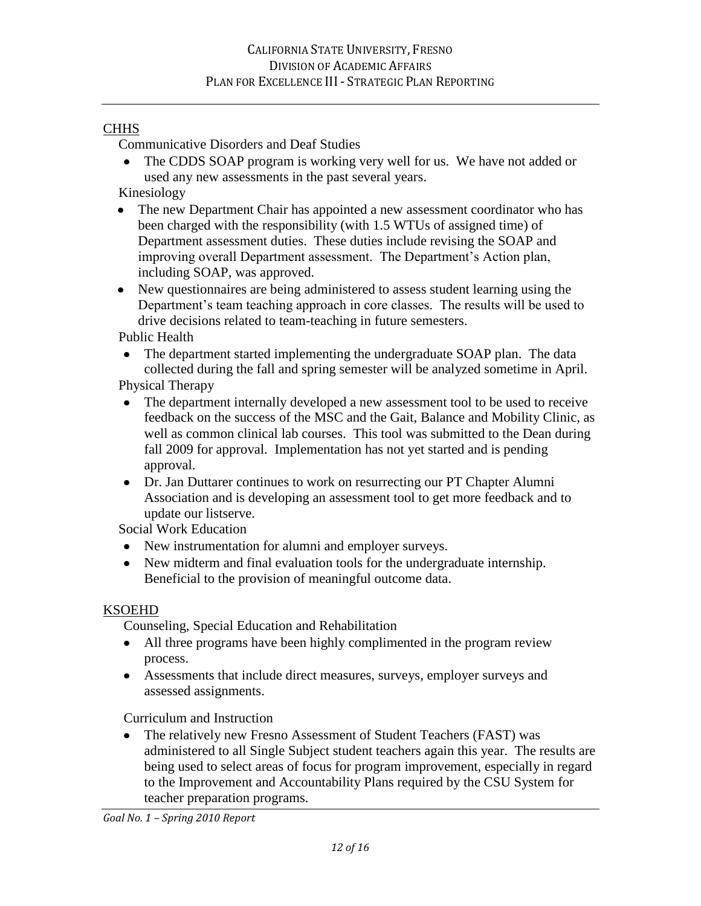### **CHHS**

Communicative Disorders and Deaf Studies

• The CDDS SOAP program is working very well for us. We have not added or used any new assessments in the past several years.

Kinesiology

- $\bullet$ The new Department Chair has appointed a new assessment coordinator who has been charged with the responsibility (with 1.5 WTUs of assigned time) of Department assessment duties. These duties include revising the SOAP and improving overall Department assessment. The Department's Action plan, including SOAP, was approved.
- New questionnaires are being administered to assess student learning using the  $\bullet$ Department's team teaching approach in core classes. The results will be used to drive decisions related to team-teaching in future semesters.

Public Health

• The department started implementing the undergraduate SOAP plan. The data collected during the fall and spring semester will be analyzed sometime in April.

Physical Therapy

- $\bullet$ The department internally developed a new assessment tool to be used to receive feedback on the success of the MSC and the Gait, Balance and Mobility Clinic, as well as common clinical lab courses. This tool was submitted to the Dean during fall 2009 for approval. Implementation has not yet started and is pending approval.
- Dr. Jan Duttarer continues to work on resurrecting our PT Chapter Alumni Association and is developing an assessment tool to get more feedback and to update our listserve.

Social Work Education

- New instrumentation for alumni and employer surveys.
- New midterm and final evaluation tools for the undergraduate internship. Beneficial to the provision of meaningful outcome data.

## KSOEHD

Counseling, Special Education and Rehabilitation

- All three programs have been highly complimented in the program review process.
- Assessments that include direct measures, surveys, employer surveys and assessed assignments.

Curriculum and Instruction

The relatively new Fresno Assessment of Student Teachers (FAST) was  $\bullet$ administered to all Single Subject student teachers again this year. The results are being used to select areas of focus for program improvement, especially in regard to the Improvement and Accountability Plans required by the CSU System for teacher preparation programs.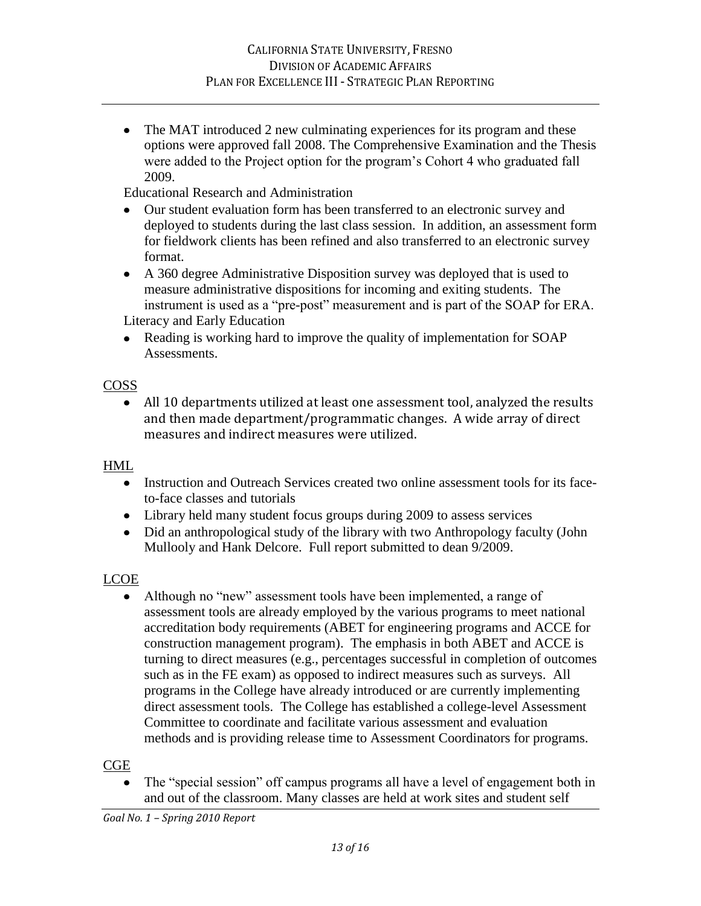• The MAT introduced 2 new culminating experiences for its program and these options were approved fall 2008. The Comprehensive Examination and the Thesis were added to the Project option for the program"s Cohort 4 who graduated fall 2009.

Educational Research and Administration

- Our student evaluation form has been transferred to an electronic survey and deployed to students during the last class session. In addition, an assessment form for fieldwork clients has been refined and also transferred to an electronic survey format.
- A 360 degree Administrative Disposition survey was deployed that is used to measure administrative dispositions for incoming and exiting students. The instrument is used as a "pre-post" measurement and is part of the SOAP for ERA. Literacy and Early Education
- Reading is working hard to improve the quality of implementation for SOAP Assessments.

## COSS

All 10 departments utilized at least one assessment tool, analyzed the results and then made department/programmatic changes. A wide array of direct measures and indirect measures were utilized.

#### HML

- Instruction and Outreach Services created two online assessment tools for its faceto-face classes and tutorials
- Library held many student focus groups during 2009 to assess services
- Did an anthropological study of the library with two Anthropology faculty (John Mullooly and Hank Delcore. Full report submitted to dean 9/2009.

## LCOE

• Although no "new" assessment tools have been implemented, a range of assessment tools are already employed by the various programs to meet national accreditation body requirements (ABET for engineering programs and ACCE for construction management program). The emphasis in both ABET and ACCE is turning to direct measures (e.g., percentages successful in completion of outcomes such as in the FE exam) as opposed to indirect measures such as surveys. All programs in the College have already introduced or are currently implementing direct assessment tools. The College has established a college-level Assessment Committee to coordinate and facilitate various assessment and evaluation methods and is providing release time to Assessment Coordinators for programs.

#### **CGE**

The "special session" off campus programs all have a level of engagement both in and out of the classroom. Many classes are held at work sites and student self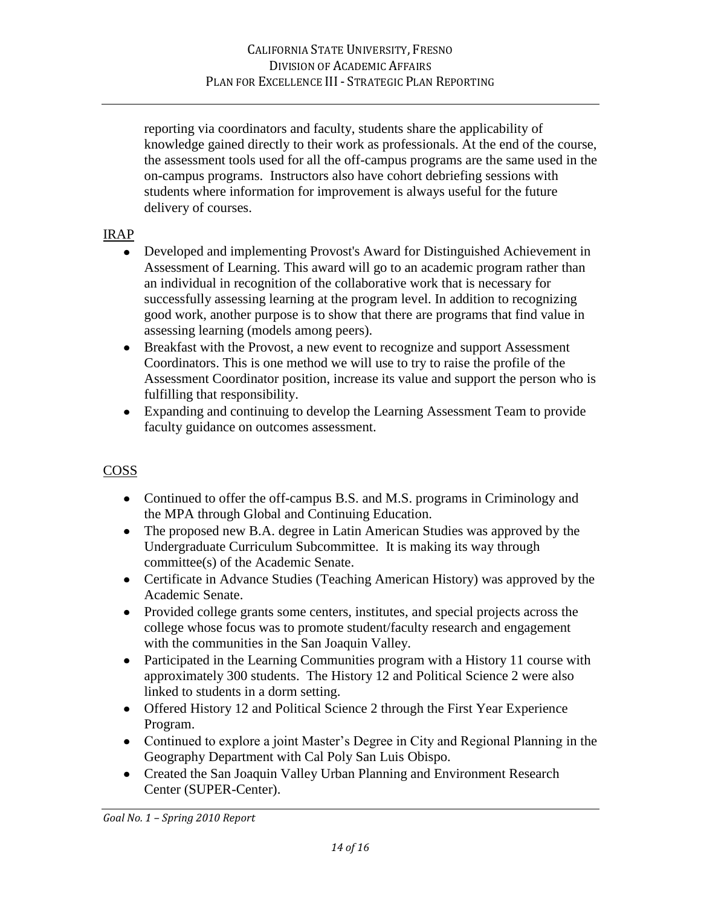reporting via coordinators and faculty, students share the applicability of knowledge gained directly to their work as professionals. At the end of the course, the assessment tools used for all the off-campus programs are the same used in the on-campus programs. Instructors also have cohort debriefing sessions with students where information for improvement is always useful for the future delivery of courses.

## IRAP

- Developed and implementing Provost's Award for Distinguished Achievement in Assessment of Learning. This award will go to an academic program rather than an individual in recognition of the collaborative work that is necessary for successfully assessing learning at the program level. In addition to recognizing good work, another purpose is to show that there are programs that find value in assessing learning (models among peers).
- Breakfast with the Provost, a new event to recognize and support Assessment  $\bullet$ Coordinators. This is one method we will use to try to raise the profile of the Assessment Coordinator position, increase its value and support the person who is fulfilling that responsibility.
- Expanding and continuing to develop the Learning Assessment Team to provide faculty guidance on outcomes assessment.

## COSS

- Continued to offer the off-campus B.S. and M.S. programs in Criminology and the MPA through Global and Continuing Education.
- The proposed new B.A. degree in Latin American Studies was approved by the Undergraduate Curriculum Subcommittee. It is making its way through committee(s) of the Academic Senate.
- Certificate in Advance Studies (Teaching American History) was approved by the Academic Senate.
- Provided college grants some centers, institutes, and special projects across the college whose focus was to promote student/faculty research and engagement with the communities in the San Joaquin Valley.
- Participated in the Learning Communities program with a History 11 course with approximately 300 students. The History 12 and Political Science 2 were also linked to students in a dorm setting.
- Offered History 12 and Political Science 2 through the First Year Experience Program.
- Continued to explore a joint Master's Degree in City and Regional Planning in the Geography Department with Cal Poly San Luis Obispo.
- Created the San Joaquin Valley Urban Planning and Environment Research Center (SUPER-Center).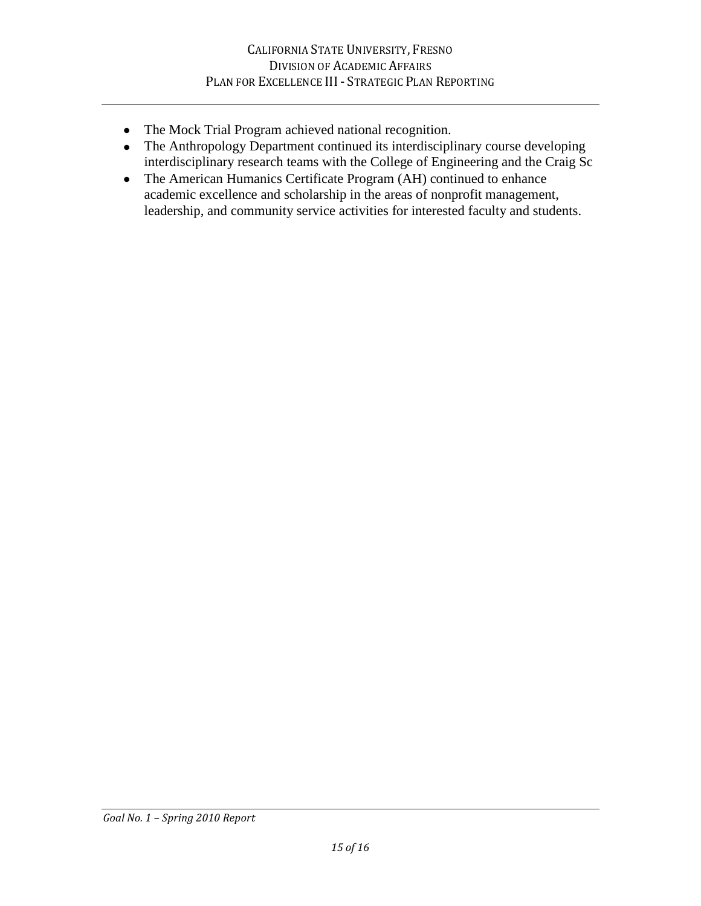- The Mock Trial Program achieved national recognition.
- The Anthropology Department continued its interdisciplinary course developing interdisciplinary research teams with the College of Engineering and the Craig Sc
- The American Humanics Certificate Program (AH) continued to enhance academic excellence and scholarship in the areas of nonprofit management, leadership, and community service activities for interested faculty and students.